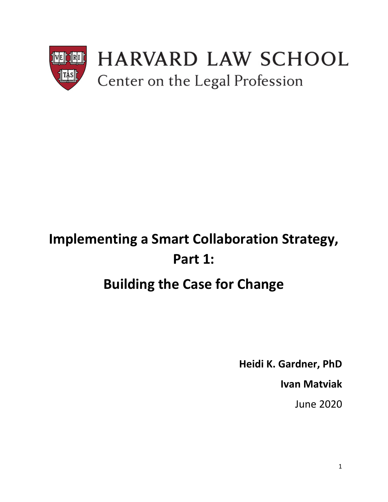

# **Implementing a Smart Collaboration Strategy, Part 1:**

## **Building the Case for Change**

**Heidi K. Gardner, PhD**

**Ivan Matviak**

June 2020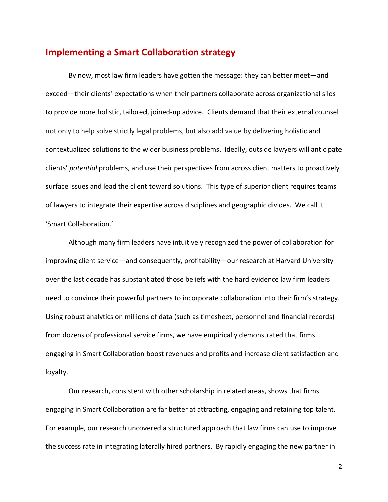## **Implementing a Smart Collaboration strategy**

By now, most law firm leaders have gotten the message: they can better meet—and exceed—their clients' expectations when their partners collaborate across organizational silos to provide more holistic, tailored, joined-up advice. Clients demand that their external counsel not only to help solve strictly legal problems, but also add value by delivering holistic and contextualized solutions to the wider business problems. Ideally, outside lawyers will anticipate clients' *potential* problems, and use their perspectives from across client matters to proactively surface issues and lead the client toward solutions. This type of superior client requires teams of lawyers to integrate their expertise across disciplines and geographic divides. We call it 'Smart Collaboration.'

Although many firm leaders have intuitively recognized the power of collaboration for improving client service—and consequently, profitability—our research at Harvard University over the last decade has substantiated those beliefs with the hard evidence law firm leaders need to convince their powerful partners to incorporate collaboration into their firm's strategy. Using robust analytics on millions of data (such as timesheet, personnel and financial records) from dozens of professional service firms, we have empirically demonstrated that firms engaging in Smart Collaboration boost revenues and profits and increase client satisfaction and loyalty.<sup>i</sup>

Our research, consistent with other scholarship in related areas, shows that firms engaging in Smart Collaboration are far better at attracting, engaging and retaining top talent. For example, our research uncovered a structured approach that law firms can use to improve the success rate in integrating laterally hired partners. By rapidly engaging the new partner in

2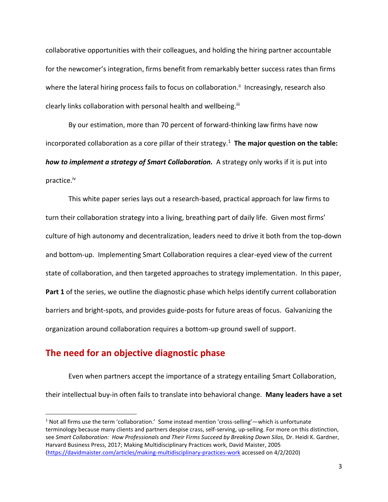collaborative opportunities with their colleagues, and holding the hiring partner accountable for the newcomer's integration, firms benefit from remarkably better success rates than firms where the lateral hiring process fails to focus on collaboration.<sup>ii</sup> Increasingly, research also clearly links collaboration with personal health and wellbeing.<sup>iii</sup>

By our estimation, more than 70 percent of forward-thinking law firms have now incorporated collaboration as a core pillar of their strategy.<sup>1</sup> The major question on the table: *how to implement a strategy of Smart Collaboration.* A strategy only works if it is put into practice.<sup>iv</sup>

This white paper series lays out a research-based, practical approach for law firms to turn their collaboration strategy into a living, breathing part of daily life. Given most firms' culture of high autonomy and decentralization, leaders need to drive it both from the top-down and bottom-up. Implementing Smart Collaboration requires a clear-eyed view of the current state of collaboration, and then targeted approaches to strategy implementation. In this paper, **Part 1** of the series, we outline the diagnostic phase which helps identify current collaboration barriers and bright-spots, and provides guide-posts for future areas of focus. Galvanizing the organization around collaboration requires a bottom-up ground swell of support.

## **The need for an objective diagnostic phase**

l

Even when partners accept the importance of a strategy entailing Smart Collaboration, their intellectual buy-in often fails to translate into behavioral change. **Many leaders have a set** 

 $1$  Not all firms use the term 'collaboration.' Some instead mention 'cross-selling'—which is unfortunate terminology because many clients and partners despise crass, self-serving, up-selling. For more on this distinction, see Smart Collaboration: How Professionals and Their Firms Succeed by Breaking Down Silos, Dr. Heidi K. Gardner, Harvard Business Press, 2017; Making Multidisciplinary Practices work, David Maister, 2005 [\(https://davidmaister.com/articles/making-multidisciplinary-practices-work](about:blank) accessed on 4/2/2020)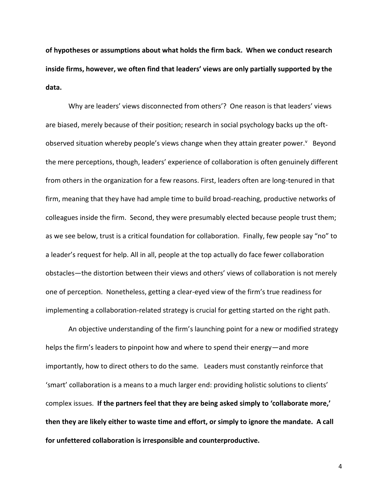**of hypotheses or assumptions about what holds the firm back. When we conduct research inside firms, however, we often find that leaders' views are only partially supported by the data.**

Why are leaders' views disconnected from others'? One reason is that leaders' views are biased, merely because of their position; research in social psychology backs up the oftobserved situation whereby people's views change when they attain greater power.<sup>v</sup> Beyond the mere perceptions, though, leaders' experience of collaboration is often genuinely different from others in the organization for a few reasons. First, leaders often are long-tenured in that firm, meaning that they have had ample time to build broad-reaching, productive networks of colleagues inside the firm. Second, they were presumably elected because people trust them; as we see below, trust is a critical foundation for collaboration. Finally, few people say "no" to a leader's request for help. All in all, people at the top actually do face fewer collaboration obstacles—the distortion between their views and others' views of collaboration is not merely one of perception. Nonetheless, getting a clear-eyed view of the firm's true readiness for implementing a collaboration-related strategy is crucial for getting started on the right path.

An objective understanding of the firm's launching point for a new or modified strategy helps the firm's leaders to pinpoint how and where to spend their energy—and more importantly, how to direct others to do the same. Leaders must constantly reinforce that 'smart' collaboration is a means to a much larger end: providing holistic solutions to clients' complex issues. **If the partners feel that they are being asked simply to 'collaborate more,' then they are likely either to waste time and effort, or simply to ignore the mandate. A call for unfettered collaboration is irresponsible and counterproductive.**

4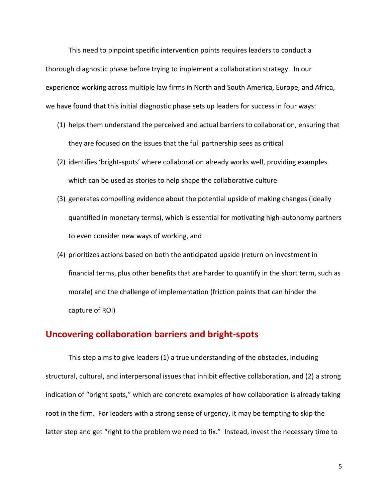This need to pinpoint specific intervention points requires leaders to conduct a thorough diagnostic phase before trying to implement a collaboration strategy. In our experience working across multiple law firms in North and South America, Europe, and Africa, we have found that this initial diagnostic phase sets up leaders for success in four ways:

- (1) helps them understand the perceived and actual barriers to collaboration, ensuring that they are focused on the issues that the full partnership sees as critical
- (2) identifies 'bright-spots' where collaboration already works well, providing examples which can be used as stories to help shape the collaborative culture
- (3) generates compelling evidence about the potential upside of making changes (ideally quantified in monetary terms), which is essential for motivating high-autonomy partners to even consider new ways of working, and
- (4) prioritizes actions based on both the anticipated upside (return on investment in financial terms, plus other benefits that are harder to quantify in the short term, such as morale) and the challenge of implementation (friction points that can hinder the capture of ROI)

## **Uncovering collaboration barriers and bright-spots**

This step aims to give leaders (1) a true understanding of the obstacles, including structural, cultural, and interpersonal issues that inhibit effective collaboration, and (2) a strong indication of "bright spots," which are concrete examples of how collaboration is already taking root in the firm. For leaders with a strong sense of urgency, it may be tempting to skip the latter step and get "right to the problem we need to fix." Instead, invest the necessary time to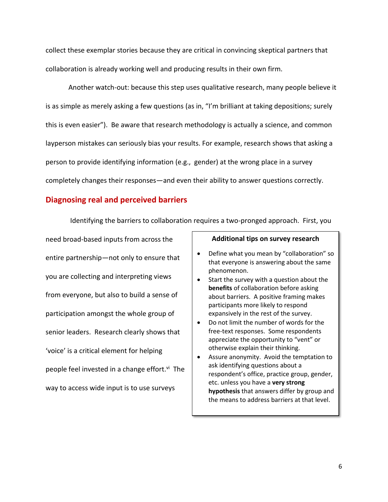collect these exemplar stories because they are critical in convincing skeptical partners that collaboration is already working well and producing results in their own firm.

Another watch-out: because this step uses qualitative research, many people believe it is as simple as merely asking a few questions (as in, "I'm brilliant at taking depositions; surely this is even easier"). Be aware that research methodology is actually a science, and common layperson mistakes can seriously bias your results. For example, research shows that asking a person to provide identifying information (e.g., gender) at the wrong place in a survey completely changes their responses—and even their ability to answer questions correctly.

#### **Diagnosing real and perceived barriers**

Identifying the barriers to collaboration requires a two-pronged approach. First, you

need broad-based inputs from across the entire partnership—not only to ensure that you are collecting and interpreting views from everyone, but also to build a sense of participation amongst the whole group of senior leaders. Research clearly shows that 'voice' is a critical element for helping people feel invested in a change effort.<sup>vi</sup> The way to access wide input is to use surveys

#### **Additional tips on survey research**

- Define what you mean by "collaboration" so that everyone is answering about the same phenomenon.
- Start the survey with a question about the **benefits** of collaboration before asking about barriers. A positive framing makes participants more likely to respond expansively in the rest of the survey.
- Do not limit the number of words for the free-text responses. Some respondents appreciate the opportunity to "vent" or otherwise explain their thinking.
- Assure anonymity. Avoid the temptation to ask identifying questions about a respondent's office, practice group, gender, etc. unless you have a **very strong hypothesis** that answers differ by group and the means to address barriers at that level.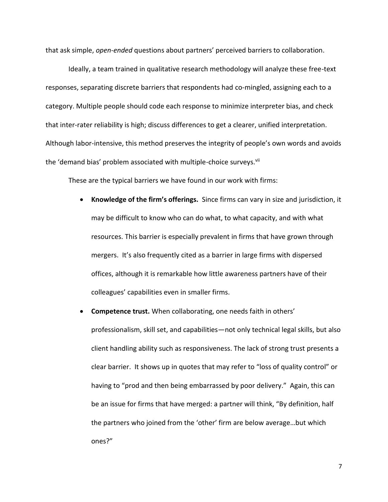that ask simple, *open-ended* questions about partners' perceived barriers to collaboration.

Ideally, a team trained in qualitative research methodology will analyze these free-text responses, separating discrete barriers that respondents had co-mingled, assigning each to a category. Multiple people should code each response to minimize interpreter bias, and check that inter-rater reliability is high; discuss differences to get a clearer, unified interpretation. Although labor-intensive, this method preserves the integrity of people's own words and avoids the 'demand bias' problem associated with multiple-choice surveys.<sup>vii</sup>

These are the typical barriers we have found in our work with firms:

- **Knowledge of the firm's offerings.** Since firms can vary in size and jurisdiction, it may be difficult to know who can do what, to what capacity, and with what resources. This barrier is especially prevalent in firms that have grown through mergers. It's also frequently cited as a barrier in large firms with dispersed offices, although it is remarkable how little awareness partners have of their colleagues' capabilities even in smaller firms.
- **Competence trust.** When collaborating, one needs faith in others' professionalism, skill set, and capabilities—not only technical legal skills, but also client handling ability such as responsiveness. The lack of strong trust presents a clear barrier. It shows up in quotes that may refer to "loss of quality control" or having to "prod and then being embarrassed by poor delivery." Again, this can be an issue for firms that have merged: a partner will think, "By definition, half the partners who joined from the 'other' firm are below average…but which ones?"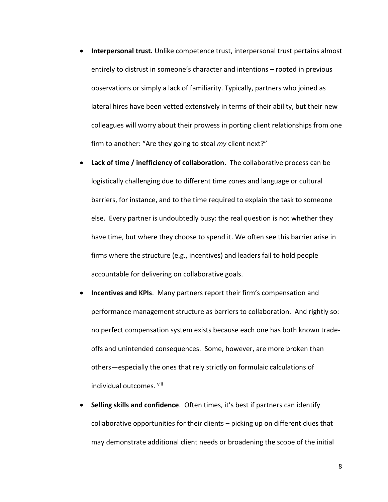- **Interpersonal trust.** Unlike competence trust, interpersonal trust pertains almost entirely to distrust in someone's character and intentions – rooted in previous observations or simply a lack of familiarity. Typically, partners who joined as lateral hires have been vetted extensively in terms of their ability, but their new colleagues will worry about their prowess in porting client relationships from one firm to another: "Are they going to steal *my* client next?"
- **Lack of time / inefficiency of collaboration**. The collaborative process can be logistically challenging due to different time zones and language or cultural barriers, for instance, and to the time required to explain the task to someone else. Every partner is undoubtedly busy: the real question is not whether they have time, but where they choose to spend it. We often see this barrier arise in firms where the structure (e.g., incentives) and leaders fail to hold people accountable for delivering on collaborative goals.
- **Incentives and KPIs**. Many partners report their firm's compensation and performance management structure as barriers to collaboration. And rightly so: no perfect compensation system exists because each one has both known tradeoffs and unintended consequences. Some, however, are more broken than others—especially the ones that rely strictly on formulaic calculations of individual outcomes. Viii
- **Selling skills and confidence**. Often times, it's best if partners can identify collaborative opportunities for their clients – picking up on different clues that may demonstrate additional client needs or broadening the scope of the initial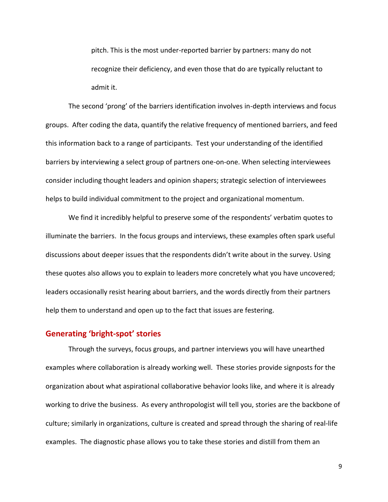pitch. This is the most under-reported barrier by partners: many do not recognize their deficiency, and even those that do are typically reluctant to admit it.

The second 'prong' of the barriers identification involves in-depth interviews and focus groups. After coding the data, quantify the relative frequency of mentioned barriers, and feed this information back to a range of participants. Test your understanding of the identified barriers by interviewing a select group of partners one-on-one. When selecting interviewees consider including thought leaders and opinion shapers; strategic selection of interviewees helps to build individual commitment to the project and organizational momentum.

We find it incredibly helpful to preserve some of the respondents' verbatim quotes to illuminate the barriers. In the focus groups and interviews, these examples often spark useful discussions about deeper issues that the respondents didn't write about in the survey. Using these quotes also allows you to explain to leaders more concretely what you have uncovered; leaders occasionally resist hearing about barriers, and the words directly from their partners help them to understand and open up to the fact that issues are festering.

#### **Generating 'bright-spot' stories**

Through the surveys, focus groups, and partner interviews you will have unearthed examples where collaboration is already working well. These stories provide signposts for the organization about what aspirational collaborative behavior looks like, and where it is already working to drive the business. As every anthropologist will tell you, stories are the backbone of culture; similarly in organizations, culture is created and spread through the sharing of real-life examples. The diagnostic phase allows you to take these stories and distill from them an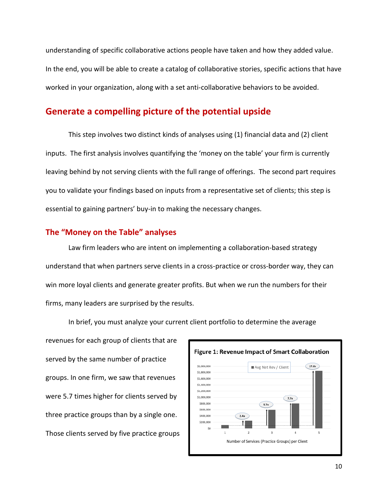understanding of specific collaborative actions people have taken and how they added value. In the end, you will be able to create a catalog of collaborative stories, specific actions that have worked in your organization, along with a set anti-collaborative behaviors to be avoided.

## **Generate a compelling picture of the potential upside**

This step involves two distinct kinds of analyses using (1) financial data and (2) client inputs. The first analysis involves quantifying the 'money on the table' your firm is currently leaving behind by not serving clients with the full range of offerings. The second part requires you to validate your findings based on inputs from a representative set of clients; this step is essential to gaining partners' buy-in to making the necessary changes.

#### **The "Money on the Table" analyses**

Law firm leaders who are intent on implementing a collaboration-based strategy understand that when partners serve clients in a cross-practice or cross-border way, they can win more loyal clients and generate greater profits. But when we run the numbers for their firms, many leaders are surprised by the results.

revenues for each group of clients that are served by the same number of practice groups. In one firm, we saw that revenues were 5.7 times higher for clients served by three practice groups than by a single one. Those clients served by five practice groups



In brief, you must analyze your current client portfolio to determine the average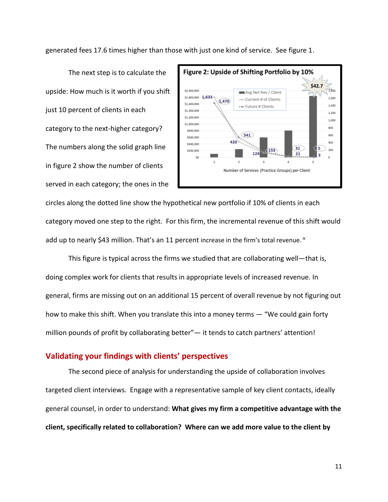generated fees 17.6 times higher than those with just one kind of service. See figure 1.

The next step is to calculate the upside: How much is it worth if you shift just 10 percent of clients in each category to the next-higher category? The numbers along the solid graph line in figure 2 show the number of clients served in each category; the ones in the



circles along the dotted line show the hypothetical new portfolio if 10% of clients in each category moved one step to the right. For this firm, the incremental revenue of this shift would add up to nearly \$43 million. That's an 11 percent increase in the firm's total revenue.  ${}^{\text{ix}}$ 

This figure is typical across the firms we studied that are collaborating well—that is, doing complex work for clients that results in appropriate levels of increased revenue. In general, firms are missing out on an additional 15 percent of overall revenue by not figuring out how to make this shift. When you translate this into a money terms — "We could gain forty million pounds of profit by collaborating better"— it tends to catch partners' attention!

#### **Validating your findings with clients' perspectives**

The second piece of analysis for understanding the upside of collaboration involves targeted client interviews. Engage with a representative sample of key client contacts, ideally general counsel, in order to understand: **What gives my firm a competitive advantage with the client, specifically related to collaboration? Where can we add more value to the client by**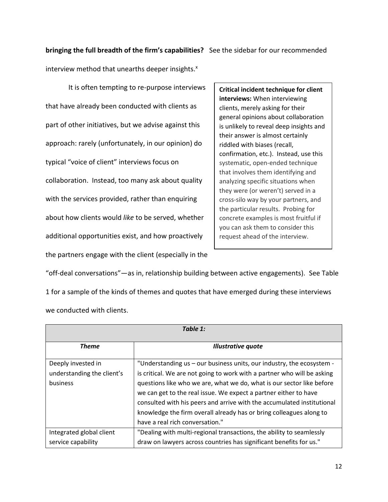**bringing the full breadth of the firm's capabilities?** See the sidebar for our recommended

interview method that unearths deeper insights. $x$ 

It is often tempting to re-purpose interviews that have already been conducted with clients as part of other initiatives, but we advise against this approach: rarely (unfortunately, in our opinion) do typical "voice of client" interviews focus on collaboration. Instead, too many ask about quality with the services provided, rather than enquiring about how clients would *like* to be served, whether additional opportunities exist, and how proactively the partners engage with the client (especially in the

**Critical incident technique for client interviews:** When interviewing clients, merely asking for their general opinions about collaboration is unlikely to reveal deep insights and their answer is almost certainly riddled with biases (recall, confirmation, etc.). Instead, use this systematic, open-ended technique that involves them identifying and analyzing specific situations when they were (or weren't) served in a cross-silo way by your partners, and the particular results. Probing for concrete examples is most fruitful if you can ask them to consider this request ahead of the interview.

"off-deal conversations"—as in, relationship building between active engagements). See Table 1 for a sample of the kinds of themes and quotes that have emerged during these interviews we conducted with clients.

| Table 1:                   |                                                                         |
|----------------------------|-------------------------------------------------------------------------|
| <b>Theme</b>               | <b>Illustrative quote</b>                                               |
| Deeply invested in         | "Understanding us – our business units, our industry, the ecosystem -   |
| understanding the client's | is critical. We are not going to work with a partner who will be asking |
| business                   | questions like who we are, what we do, what is our sector like before   |
|                            | we can get to the real issue. We expect a partner either to have        |
|                            | consulted with his peers and arrive with the accumulated institutional  |
|                            | knowledge the firm overall already has or bring colleagues along to     |
|                            | have a real rich conversation."                                         |
| Integrated global client   | "Dealing with multi-regional transactions, the ability to seamlessly    |
| service capability         | draw on lawyers across countries has significant benefits for us."      |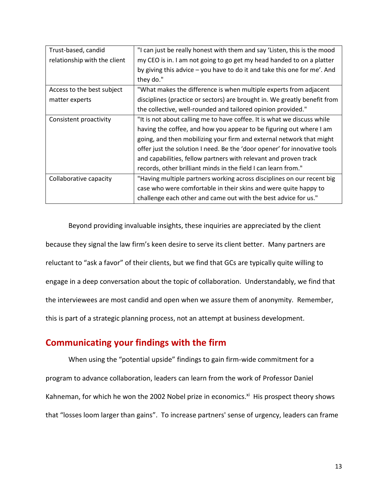| Trust-based, candid          | "I can just be really honest with them and say 'Listen, this is the mood  |
|------------------------------|---------------------------------------------------------------------------|
| relationship with the client | my CEO is in. I am not going to go get my head handed to on a platter     |
|                              | by giving this advice – you have to do it and take this one for me'. And  |
|                              | they do."                                                                 |
| Access to the best subject   | "What makes the difference is when multiple experts from adjacent         |
| matter experts               | disciplines (practice or sectors) are brought in. We greatly benefit from |
|                              | the collective, well-rounded and tailored opinion provided."              |
| Consistent proactivity       | "It is not about calling me to have coffee. It is what we discuss while   |
|                              | having the coffee, and how you appear to be figuring out where I am       |
|                              | going, and then mobilizing your firm and external network that might      |
|                              | offer just the solution I need. Be the 'door opener' for innovative tools |
|                              | and capabilities, fellow partners with relevant and proven track          |
|                              | records, other brilliant minds in the field I can learn from."            |
| Collaborative capacity       | "Having multiple partners working across disciplines on our recent big    |
|                              | case who were comfortable in their skins and were quite happy to          |
|                              | challenge each other and came out with the best advice for us."           |

Beyond providing invaluable insights, these inquiries are appreciated by the client because they signal the law firm's keen desire to serve its client better. Many partners are reluctant to "ask a favor" of their clients, but we find that GCs are typically quite willing to engage in a deep conversation about the topic of collaboration. Understandably, we find that the interviewees are most candid and open when we assure them of anonymity. Remember, this is part of a strategic planning process, not an attempt at business development.

## **Communicating your findings with the firm**

When using the "potential upside" findings to gain firm-wide commitment for a program to advance collaboration, leaders can learn from the work of Professor Daniel Kahneman, for which he won the 2002 Nobel prize in economics.<sup>xi</sup> His prospect theory shows that "losses loom larger than gains". To increase partners' sense of urgency, leaders can frame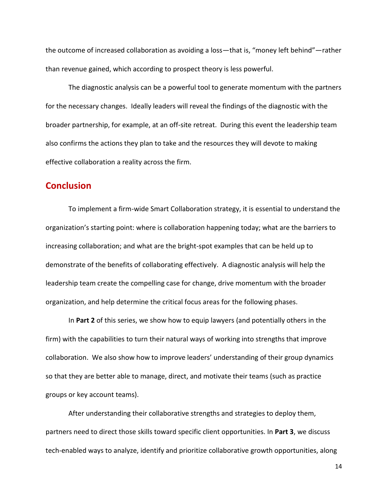the outcome of increased collaboration as avoiding a loss—that is, "money left behind"—rather than revenue gained, which according to prospect theory is less powerful.

The diagnostic analysis can be a powerful tool to generate momentum with the partners for the necessary changes. Ideally leaders will reveal the findings of the diagnostic with the broader partnership, for example, at an off-site retreat. During this event the leadership team also confirms the actions they plan to take and the resources they will devote to making effective collaboration a reality across the firm.

## **Conclusion**

To implement a firm-wide Smart Collaboration strategy, it is essential to understand the organization's starting point: where is collaboration happening today; what are the barriers to increasing collaboration; and what are the bright-spot examples that can be held up to demonstrate of the benefits of collaborating effectively. A diagnostic analysis will help the leadership team create the compelling case for change, drive momentum with the broader organization, and help determine the critical focus areas for the following phases.

In **Part 2** of this series, we show how to equip lawyers (and potentially others in the firm) with the capabilities to turn their natural ways of working into strengths that improve collaboration. We also show how to improve leaders' understanding of their group dynamics so that they are better able to manage, direct, and motivate their teams (such as practice groups or key account teams).

After understanding their collaborative strengths and strategies to deploy them, partners need to direct those skills toward specific client opportunities. In **Part 3**, we discuss tech-enabled ways to analyze, identify and prioritize collaborative growth opportunities, along

14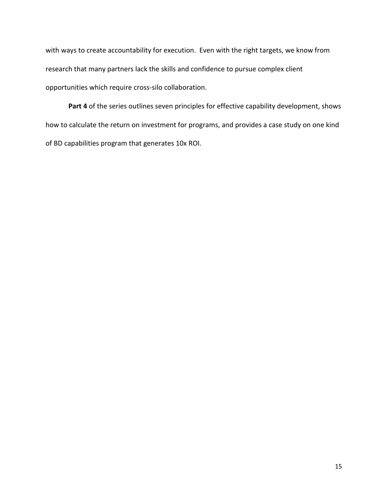with ways to create accountability for execution. Even with the right targets, we know from research that many partners lack the skills and confidence to pursue complex client opportunities which require cross-silo collaboration.

Part 4 of the series outlines seven principles for effective capability development, shows how to calculate the return on investment for programs, and provides a case study on one kind of BD capabilities program that generates 10x ROI.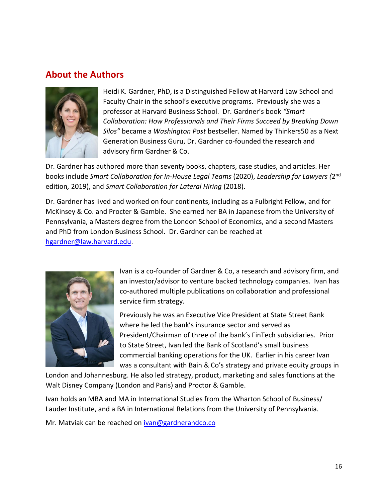## **About the Authors**



Heidi K. Gardner, PhD, is a Distinguished Fellow at Harvard Law School and Faculty Chair in the school's executive programs. Previously she was a professor at Harvard Business School. Dr. Gardner's book *"Smart Collaboration: How Professionals and Their Firms Succeed by Breaking Down Silos"* became a *Washington Post* bestseller. Named by Thinkers50 as a Next Generation Business Guru, Dr. Gardner co-founded the research and advisory firm Gardner & Co.

Dr. Gardner has authored more than seventy books, chapters, case studies, and articles. Her books include *Smart Collaboration for In-House Legal Teams* (2020), *Leadership for Lawyers (*2 nd edition*,* 2019), and *Smart Collaboration for Lateral Hiring* (2018).

Dr. Gardner has lived and worked on four continents, including as a Fulbright Fellow, and for McKinsey & Co. and Procter & Gamble. She earned her BA in Japanese from the University of Pennsylvania, a Masters degree from the London School of Economics, and a second Masters and PhD from London Business School. Dr. Gardner can be reached at [hgardner@law.harvard.edu.](about:blank)



Ivan is a co-founder of Gardner & Co, a research and advisory firm, and an investor/advisor to venture backed technology companies. Ivan has co-authored multiple publications on collaboration and professional service firm strategy.

Previously he was an Executive Vice President at State Street Bank where he led the bank's insurance sector and served as President/Chairman of three of the bank's FinTech subsidiaries. Prior to State Street, Ivan led the Bank of Scotland's small business commercial banking operations for the UK. Earlier in his career Ivan was a consultant with Bain & Co's strategy and private equity groups in

London and Johannesburg. He also led strategy, product, marketing and sales functions at the Walt Disney Company (London and Paris) and Proctor & Gamble.

Ivan holds an MBA and MA in International Studies from the Wharton School of Business/ Lauder Institute, and a BA in International Relations from the University of Pennsylvania.

Mr. Matviak can be reached on *ivan@gardnerandco.co*